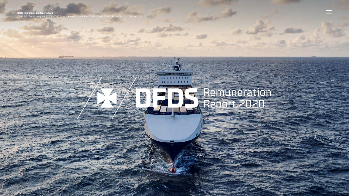**DFDS Remuneration Report 2020** DFDS A/S · Sundkrogsgade 11, DK-2100 Copenhagen Ø · T +45 3342 3342 · F +45 3342 3311 · dfds.com · CVR 14 19 47 11

# Remuneration Report 2020

LOOKING MILLION IN HOW AND HELD AND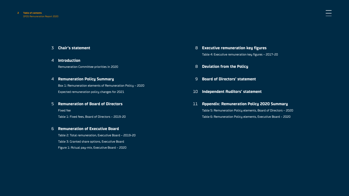#### 3 **[Chair's statement](#page-2-0)**

4 **[Introduction](#page-3-0)**

Remuneration Committee priorities in 2020

#### 4 **[Remuneration Policy Summary](#page-3-0)**

Box 1: Remuneration elements of Remuneration Policy – 2020 Expected remuneration policy changes for 2021

#### 5 **[Remuneration of Board of Directors](#page-4-0)**

Fixed fee

Table 1: Fixed fees, Board of Directors – 2019-20

#### 6 **[Remuneration of Executive Board](#page-5-0)**

Table 2: Total remuneration, Executive Board – 2019-20 Table 3: Granted share options, Executive Board Figure 1: Actual pay-mix, Executive Board – 2020

- 8 **[Executive remuneration key figures](#page-7-0)** Table 4: Executive remuneration key figures – 2017-20
- 8 **[Deviation from the Policy](#page-7-0)**
- 9 **[Board of Directors' statement](#page-8-0)**
- 10 **[Independent Auditors' statement](#page-9-0)**
- 11 **[Appendix: Remuneration Policy 2020 Summary](#page-10-0)** Table 5: Remuneration Policy elements, Board of Directors – 2020 Table 6: Remuneration Policy elements, Executive Board – 2020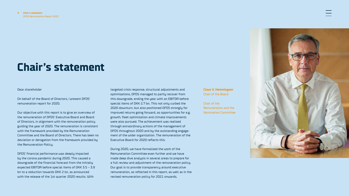# <span id="page-2-0"></span>**Chair's statement**

#### Dear shareholder

On behalf of the Board of Directors, I present DFDS' remuneration report for 2020.

Our objective with this report is to give an overview of the remuneration of DFDS' Executive Board and Board of Directors, in alignment with the remuneration policy guiding the year of 2020. The remuneration is consistent with the framework provided by the Remuneration Committee and the Board of Directors. There has been no deviation or derogation from the framework provided by the Remuneration Policy.

DFDS' financial performance was deeply impacted by the corona pandemic during 2020. This caused a downgrade of the financial forecast from the initially expected EBITDA before special items of DKK 3.5 – 3.9 bn to a reduction towards DKK 2 bn, as announced with the release of the 1st quarter 2020 results. With

targeted crisis response, structural adjustments and optimisations, DFDS managed to partly recover from this downgrade, ending the year with an EBITDA before special items of DKK 2.7 bn. This not only curbed the 2020 downturn, but also positioned DFDS strongly for improved returns going forward, as opportunities for e.g. growth, fleet optimization and climate improvements were also pursued. The achievement was realised through extraordinary actions of the management of DFDS throughout 2020 and by the outstanding engagement of the wider organization. The remuneration of the Executive Board for 2020 reflects this.

During 2020, we have formalized the work of the Remuneration Committee even further and we have made deep dive analysis in several areas to prepare for a full review and adjustment of the remuneration policy. Our goal is to provide transparency around executive remuneration, as reflected in this report, as well as in the revised remuneration policy for 2021 onwards.

**Claus V. Hemmingsen** Chair of the Board

Chair of the Remuneration and the Nomination Committee

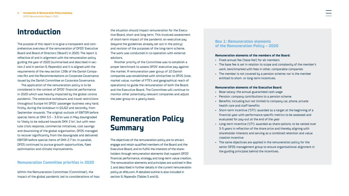### <span id="page-3-0"></span>**Introduction**

The purpose of this report is to give a transparent and comprehensive overview of the remuneration of DFDS' Executive Board and Board of Directors ('Board') in 2020. The report is reflective of and in alignment with the remuneration policy guiding the year of 2020 (summarised and described in section 2 and in section 9, Appendix) and it is aligned with the requirements of the new section 139b of the Danish Companies Act and the Recommendations on Corporate Governance issued by the Danish Committee on Corporate Governance.

The application of the remuneration policy is to be considered in the context of DFDS' financial performance in 2020 which was heavily impacted by the global corona pandemic. The extensive lockdowns and travel restrictions throughout Europe hit DFDS' passenger business very hard; firstly, during the lockdown in Q1/Q2 and secondly, from September onwards. The original outlook of EBITDA before special items at DKK 3.5 – 3.9 bn was in May downgraded to 'likely to be reduced towards DKK 2 bn', but with resolute crisis response, commercial initiatives, cost savings and downsizing of the global organisation, DFDS managed to recover significantly from the downgrade and delivered EBITDA before special items of DKK 2.7 bn. In parallel, DFDS continued to pursue growth opportunities, fleet optimisation and climate improvements.

#### **Remuneration Committee priorities in 2020**

Within the Remuneration Committee ('Committee'), the impact of the global pandemic led to considerations of how the situation should impact remuneration for the Executive Board, short and long term. This involved assessment of short-term impact of the pandemic on executive pay (beyond the guidelines already set out in the policy) and revision of the purposes of the long-term scheme. The work was conducted in co-operation with external advisors.

Another priority of the Committee was to establish a proper benchmark to assess DFDS' executive pay against the market. A remuneration peer group of 10 Danish companies was established with similarities to DFDS (size, market value, number of FTE's and geographical reach of operations) to guide the remuneration of both the Board and the Executive Board. The Committee will continue to monitor other potentially relevant companies and adjust the peer group on a yearly basis.

# **Remuneration Policy Summary**

The objectives of the remuneration policy are to attract, engage and retain qualified members of the Board and the Executive Board, and to fulfill the interests of the shareholders through remuneration elements that support DFDS' financial performance, strategy and long-term value creation. The remuneration elements and principles are outlined in Box 1 and described in further details in the current remuneration policy at dfds.com. A detailed outline is also included in section 9, Appendix (Tables 5 and 6).

#### **Box 1: Remuneration elements of the Remuneration Policy – 2020**

#### **Remuneration elements of the members of the Board:**

- Fixed annual fee ('base fee') for all members
- The base fee is set in relation to scope and complexity of the member's work, benchmarked with fees in other, comparable companies
- The member is not covered by a pension scheme; nor is the member entitled to short- or long-term incentives.

#### **Remuneration elements of the Executive Board:**

- Base salary: the annual guaranteed cash wage
- Pension: company contributions to a pension scheme
- Benefits: including but not limited to company car, phone, private health care and staff benefits
- Short-term incentive ('STI'): awarded as a target at the beginning of a financial year with performance specific metrics to be assessed and evaluated for pay-out at the end of the year
- Long-term incentive ('LTI'): awarded as share options, to be vested over 3-5 years in reflection of the share price and thereby aligning with shareholder interests and serving as a combined retention and value creation incentive
- The same objectives are applied in the remuneration policy for the senior DFDS management group to ensure organisational alignment in the guiding principles behind the incentives.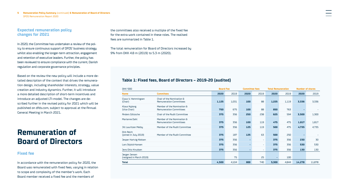<span id="page-4-0"></span>**5 Remuneration Policy Summary** (continued) **& Remuneration of Board of Directors** DFDS Remuneration Report 2020

#### **Expected remuneration policy changes for 2021**

In 2020, the Committee has undertaken a review of the policy to ensure continuous support of DFDS' business strategy whilst also enabling the longer-term attraction, engagement and retention of executive leaders. Further, the policy has been reviewed to ensure compliance with the current, Danish regulation and corporate governance principles.

Based on the review the new policy will include a more detailed description of the context that drives the remuneration design, including shareholder interests, strategy, value creation and industry dynamics. Further, it will introduce a more detailed description of short-term incentives and introduce an adjusted LTI-model. The changes are described further in the revised policy for 2021 which will be published on dfds.com, subject to approval at the Annual General Meeting in March 2021.

### **Remuneration of Board of Directors**

#### **Fixed fee**

In accordance with the remuneration policy for 2020, the Board was remunerated with fixed fees, varying in relation to scope and complexity of the member's work. Each Board member received a fixed fee and the members of

the committees also received a multiple of the fixed fee for the extra work contained in these roles. The realised fees are summarized in Table 1.

The total remuneration for Board of Directors increased by 9% from DKK 4.8 m (2019) to 5.3 m (2020).

### **Table 1: Fixed fees, Board of Directors – 2019-20 (audited)**

| <b>DKK '000</b>                           |                                                              |       | <b>Board Fee</b> |      | <b>Committee fees</b>    |       | <b>Total Remuneration</b> |        | <b>Number of shares</b> |  |
|-------------------------------------------|--------------------------------------------------------------|-------|------------------|------|--------------------------|-------|---------------------------|--------|-------------------------|--|
| <b>Name</b>                               | <b>Commitees</b>                                             | 2020  | 2019             | 2020 | 2019                     | 2020  | 2019                      | 2020   | 2019                    |  |
| Claus V. Hemmingsen<br>(Chair)            | Chair of the Nomination &<br><b>Remuneration Committees</b>  | 1,125 | 1,031            | 100  | 88                       | 1,225 | 1,119                     | 3,336  | 3,336                   |  |
| <b>Klaus Nyborg</b><br>(Vice Chair)       | Member of the Nomination &<br><b>Remuneration Committees</b> | 750   | 675              | 100  | 88                       | 850   | 763                       | ۰.     |                         |  |
| <b>Anders Götzsche</b>                    | Chair of the Audit Committee                                 | 375   | 356              | 250  | 238                      | 625   | 594                       | 3,500  | 1,300                   |  |
| Marianne Dahl                             | Member of the Nomination &<br><b>Remuneration Committees</b> | 375   | 356              | 100  | 119                      | 475   | 475                       | 1,817  | 1,817                   |  |
| Jill Lauritzen Melby                      | Member of the Audit Committee                                | 375   | 356              | 125  | 119                      | 500   | 475                       | 4,735  | 4,735                   |  |
| Dirk Reich<br>(joined in July 2019)       | Member of the Audit Committee                                | 375   | 187              | 125  | 63                       | 500   | 250                       | ۰.     |                         |  |
| Jesper Hartvig Nielsen                    |                                                              | 375   | 356              | ٠    | $\overline{\phantom{a}}$ | 375   | 356                       | 230    | 30                      |  |
| Lars Skjold-Hansen                        |                                                              | 375   | 356              | ÷.   | ÷                        | 375   | 356                       | 530    | 530                     |  |
| Jens Otto Knudsen                         |                                                              | 375   | 356              | ۰.   | $\overline{\phantom{a}}$ | 375   | 356                       | 130    | 130                     |  |
| Jørgen Jensen<br>(resigned in March 2019) |                                                              |       | 75               |      | 25                       | ٠     | 100                       |        |                         |  |
| <b>Total</b>                              |                                                              | 4,500 | 4,104            | 800  | 740                      | 5,300 | 4,844                     | 14,278 | 11,878                  |  |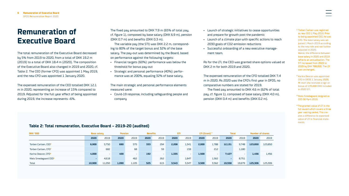### <span id="page-5-0"></span>**Remuneration of Executive Board**

The total remuneration of the Executive Board decreased by 5% from 2019 to 2020, from a total of DKK 19.2 m (2019) to a total of DKK 18.4 m (2020). The composition of the Executive Board also changed in 2019 and 2020, cf. Table 2. The CEO (former CFO) was appointed 1 May 2019, and the new CFO was appointed 1 January 2020.

The expensed remuneration of the CEO totalled DKK 12.1 m in 2020, representing an increase of 15% compared to 2019. Adjusted for the full year effect of being appointed during 2019, the increase represents ~6%.

The fixed pay amounted to DKK 7.9 m (65% of total pay, cf. figure 1), composed by base salary (DKK 6.9 m), pension (DKK 0.7 m) and benefits (DKK 0.3 m).

The variable pay (the STI) was DKK 2.2 m, corresponding to 80% of the target bonus and 32% of the base salary. The pay-out was determined by the Board, based on performance against the following targets:

- Financial targets (60%): performance was below the threshold for bonus pay-out
- Strategic and personal performance (40%): performance was at 200%, equaling 32% of base salary.

The main strategic and personal performance elements measured were:

• Covid-19 response, including safeguarding people and company

- Launch of strategic initiatives to cease opportunities and prepare for growth post the pandemic
- Launch of a climate plan with specific actions to reach 2030 goals of CO2-emission reductions
- Successful onboarding of a new executive management team.

As for the LTI, the CEO was granted share options valued at DKK 2 m for both 2019 and 2020.

The expensed remuneration of the CFO totalled DKK 7.4 m in 2020. As 2020 was the CFO's first year in DFDS, no comparative numbers are stated for 2019.

The fixed pay amounted to DKK 4.6 m (62% of total pay, cf. figure 1), composed of base salary (DKK 4.0 m), pension (DKK 0.4 m) and benefits (DKK 0.2 m).

**<sup>1</sup>** Torben Carlsen was registred as new CEO 1 May 2019. Prior to being appointed CEO, he was CFO. The base salary was adjusted 1 March 2019 according to the new role and not further adjusted in 2020. Hence, the difference between base salary in 2020 and 2019 reflects an annualisation. The STI increased from 2019 to 2020 by DKK 708,000. The LTI was unchanged.

**<sup>2</sup>** Karina Deacon was appointed CFO in DFDS 1 January 2020. At start she received a sign on bonus of 135,000 DKK included in 2020 STI.

**<sup>3</sup>** Niels Smedegaard resigned as CEO 30 April 2019.

**<sup>4</sup>**The granted value of LTI is the full award which covers a three year vesting period. This creates a difference to expensed value of LTI in financial statements.

#### **Table 2: Total remuneration, Executive Board – 2019-20 (audited)**

| DKK '000                          | <b>Base salaru</b> |                          | <b>Pension</b> |                          | <b>Benefits</b> |                          | <b>STI</b> |       | LTI (Grant) <sup>4</sup> |                          | <b>Total</b> |                          | <b>Number of shares</b> |         |
|-----------------------------------|--------------------|--------------------------|----------------|--------------------------|-----------------|--------------------------|------------|-------|--------------------------|--------------------------|--------------|--------------------------|-------------------------|---------|
|                                   | 2020               | 2019                     | 2020           | 2019                     | 2020            | 2019                     | 2020       | 2019  | 2020                     | 2019                     | 2020         | 2019                     | 2020                    | 2019    |
| Torben Carlsen, CEO <sup>1</sup>  | 6.900              | 5,750                    | 690            | 575                      | 333             | 294                      | 2,208      | 1,341 | 2,000                    | 1.788                    | 12.131       | 9,748                    | 123,850                 | 123,850 |
| Torben Carlsen, CFO <sup>1</sup>  |                    | 682                      |                | 68                       |                 | 59                       |            | 159   |                          | 212                      |              | 1,180                    |                         |         |
| Karina Deacon, CFO <sup>2</sup>   | 4.000              | $\overline{\phantom{a}}$ | 400            | $\overline{\phantom{a}}$ | 192             | $\overline{\phantom{a}}$ | 1.335      | ۰     | 1.500                    | $\overline{\phantom{a}}$ | 7.427        | $\overline{\phantom{a}}$ | 1.456                   | 1,456   |
| Niels Smedegaard CEO <sup>3</sup> | .                  | 4.618                    |                | 462                      |                 | 262                      |            | 1.847 |                          | 1.562                    |              | 8.751                    |                         |         |
| Total                             | 10,900             | 11.050                   | 1,090          | 1,105                    | 525             | 615                      | 3,543      | 3,347 | 3,500                    | 3,562                    | 19.558       | 19.679                   | 125.306                 | 125,306 |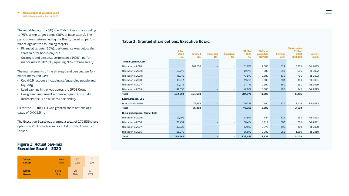The variable pay (the STI) was DKK 1.2 m, corresponding to 75% of the target bonus (30% of base salary). The pay-out was determined by the Board, based on performance against the following targets:

- Financial targets (60%): performance was below the threshold for bonus pay-out
- Strategic and personal performance (40%): performance was at 187.5%, equaling 30% of base salary.

The main elements of the strategic and personal performance measured were:

- Covid-19 response including safeguarding people and liquidity
- Lead savings initiatives across the DFDS Group
- Design and implement a finance organization with increased focus on business partnering.

As for the LTI, the CFO was granted share options at a value of DKK 1.5 m.

The Executive Board was granted a total of 177,936 share options in 2020 which equals a total of DKK 3.5 mill, cf. Table 3.

#### **Figure 1: Actual pay-mix Executive Board – 2020**

| <b>Torben</b>  | <b>Fixed</b> | <b>STI</b> | LTI |
|----------------|--------------|------------|-----|
| <b>Carlsen</b> | 65%          | 18%        | 17% |
| <b>Karina</b>  | <b>Fixed</b> | STI        | LTI |
| <b>Deacon</b>  | 62%          | 18%        | 20% |

### **Table 3: Granted share options, Executive Board**

|                              |                |                |                  |                          |                        |                               |                 | <b>Market value</b> |                |
|------------------------------|----------------|----------------|------------------|--------------------------|------------------------|-------------------------------|-----------------|---------------------|----------------|
|                              | 1 Jan.<br>2020 | <b>Granted</b> | <b>Cancelled</b> | <b>Exercised</b>         | <b>31. Dec</b><br>2020 | <b>Value at</b><br>grant date | <b>Exercise</b> | 31 Dec.<br>2020     | <b>Vesting</b> |
|                              | No.            | No.            | No.              | No.                      | No.                    | <b>DKK'000</b>                | price           | <b>DKK'000</b>      | month          |
| <b>Torben Carlsen, CEO</b>   |                |                |                  |                          |                        |                               |                 |                     |                |
| <b>Allocation in 2020</b>    |                | 101,678        |                  | $\overline{\phantom{a}}$ | 101,678                | 2.000                         | 314             | 3,305               | Feb 2023       |
| <b>Allocation in 2019 II</b> | 19.778         |                |                  | $\overline{\phantom{a}}$ | 19,778                 | 500                           | 291             | 586                 | Feb 2022       |
| <b>Allocation in 2019 I</b>  | 43,872         |                |                  | $\overline{\phantom{a}}$ | 43,872                 | 1,500                         | 335             | 786                 | Feb 2022       |
| <b>Allocation in 2018</b>    | 49,213         |                |                  | $\overline{\phantom{0}}$ | 49,213                 | 1,500                         | 383             | 413                 | Feb 2021       |
| <b>Allocation in 2017</b>    | 27,778         |                |                  | ٠                        | 27,778                 | 1,500                         | 390             | 261                 | Feb 2020       |
| <b>Allocation in 2016</b>    | 42,052         |                |                  | $\overline{\phantom{a}}$ | 42,052                 | 1,500                         | 262             | 945                 | Feb 2019       |
| <b>Total</b>                 | 182,693        | 101,678        | ٠                | ٠                        | 284,371                | 8,500                         |                 | 6,296               |                |
| Karina Deacon, CFO           |                |                |                  |                          |                        |                               |                 |                     |                |
| <b>Allocation in 2020</b>    |                | 76,258         |                  | $\overline{\phantom{a}}$ | 76,258                 | 1,500                         | 314             | 2,478               | Feb 2023       |
| <b>Total</b>                 |                | 76,258         |                  | ٠                        | 76,258                 | 1,500                         |                 | 2,478               |                |
| Niels Smedegaard, former CEO |                |                |                  |                          |                        |                               |                 |                     |                |
| <b>Allocation in 2019 I</b>  | 12.999         |                |                  | $\overline{\phantom{a}}$ | 12,999                 | 444                           | 335             | 233                 | Feb 2022       |
| <b>Allocation in 2018</b>    | 36.454         |                |                  | ٠                        | 36.454                 | 1,111                         | 383             | 306                 | Feb 2021       |
| <b>Allocation in 2017</b>    | 32,922         |                |                  | ٠                        | 32,922                 | 1.778                         | 390             | 309                 | Feb 2020       |
| <b>Allocation in 2016</b>    | 56,070         |                |                  | $\overline{\phantom{a}}$ | 56,070                 | 1,999                         | 262             | 1,260               | Feb 2019       |
| <b>Total</b>                 | 138,445        |                |                  | ٠                        | 138,445                | 5,332                         |                 | 2,108               |                |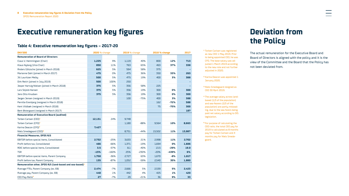### <span id="page-7-0"></span>**Executive remuneration key figures**

#### **Table 4: Executive remuneration key figures – 2017-20**

| <b>DKK'000</b>                                                       | <b>2020 %-change</b> |         |       | 2019 %-change |        | 2018 %-change |        |
|----------------------------------------------------------------------|----------------------|---------|-------|---------------|--------|---------------|--------|
| <b>Remuneration of Board of Directors</b>                            |                      |         |       |               |        |               |        |
| Claus V. Hemmingsen (Chair)                                          | 1,225                | 9%      | 1,119 | 40%           | 800    | 12%           | 713    |
| Klaus Nyborg (Vice Chair)                                            | 850                  | 11%     | 763   | 65%           | 463    | 37%           | 338    |
| Anders Götzsche (joined in March 2018)                               | 625                  | 5%      | 594   | 58%           | 375    |               |        |
| Marianne Dahl (joined in March 2017)                                 | 475                  | 0%      | 475   | 36%           | 350    | 33%           | 263    |
| Jill Lauritzen Melby                                                 | 500                  | 5%      | 475   | 19%           | 400    | 3%            | 388    |
| Dirk Reich (joined in July 2019)                                     | 500                  | 100%    | 250   |               |        |               |        |
| Jesper Hartvig Nielsen (joined in March 2018)                        | 375                  | 5%      | 356   | 58%           | 225    |               |        |
| Lars Skjold-Hansen                                                   | 375                  | 5%      | 356   | 19%           | 300    | 0%            | 300    |
| Jens Otto Knudsen                                                    | 375                  | 5%      | 356   | 19%           | 300    | 0%            | 300    |
| Jørgen Jensen (resigned in March 2019)                               |                      |         | 100   | $-75%$        | 400    | 3%            | 388    |
| Pernille Erenbjerg (resigned in March 2018)                          |                      |         |       |               | 162    | $-72%$        | 588    |
| Kent Vildbæk (resigned in March 2018)                                |                      |         |       |               | 75     | $-75%$        | 300    |
| Bent Østergaard (resigned in March 2017)                             |                      |         |       |               |        |               | 187    |
| <b>Remuneration of Executive Board (audited)</b>                     |                      |         |       |               |        |               |        |
| Torben Carlsen (CEO) <sup>1</sup>                                    | 12,131               | 24%     | 9,748 |               |        |               |        |
| Torben Carlsen (CFO) <sup>1</sup>                                    |                      |         | 1,180 | $-88%$        | 9,564  | 10%           | 8,663  |
| Karina Deacon (CFO) <sup>2</sup>                                     | 7.427                |         |       |               |        |               |        |
| Niels Smedegaard (CEO) <sup>3</sup>                                  |                      |         | 8,751 | $-44%$        | 15,502 | 11%           | 13,987 |
| <b>Financial Measures, DFDS A/S</b>                                  |                      |         |       |               |        |               |        |
| EBITDA before special items, Consolidated                            | 2,732                | $-25%$  | 3,633 | 21%           | 2,998  | 11%           | 2,702  |
| Profit before tax, Consolidated                                      | 466                  | $-66%$  | 1,371 | $-19%$        | 1,694  | 0%            | 1,686  |
| ROIC before special items, Consolidated                              | 3.5                  | $-57%$  | 8.1   | $-40%$        | 13.5   | -29%          | 19.0   |
| <b>TSR</b>                                                           | $-15%$               | $-160%$ | 25%   | $-230%$       | $-20%$ | $-439%$       | 6%     |
| EBITDA before special items, Parent Company                          | 1,758                | $-36%$  | 2,727 | 63%           | 1,670  | $-8%$         | 1,817  |
| Profit before tax, Parent Company                                    | 135                  | $-87%$  | 1,052 | $-59%$        | 2,540  | 35%           | 1,880  |
| Remuneration other, DFDS A/S (land-based and sea-based) <sup>4</sup> |                      |         |       |               |        |               |        |
| Average FTEs, Parent Company (ex. EB)                                | 2,474                | $-7%$   | 2,666 | 5%            | 2,539  | 5%            | 2,423  |
| Average pay, Parent Company (ex. EB)                                 | 448                  | 1%      | 442   | 4%            | 425    | 1%            | 420    |
| CEO Pay-Ratio <sup>5</sup>                                           | 27                   | $-7%$   | 29    | $-21%$        | 36     | 9%            | 33     |

**<sup>1</sup>** Torben Carlsen was registered as new CEO 1 May 2019. Prior to being appointed CEO, he was CFO. The base salary was adjusted 1 March 2019 according to the new role and not further adiusted in 2020.

**<sup>2</sup>** Karina Deacon was appointed 1 January 2020.

**<sup>3</sup>** Niels Smedegaard resigned as CEO 30 April 2019.

**<sup>4</sup>** The average salary across landbased (1/3 of the population) and sea-fearers (2/3 of the population) are partly misleading, due to the sea-farers being paid net salary according to DIS legislation.

**<sup>5</sup>** For purpose of calculating the CEO ratio, the total CEO pay for 2019 is calculated as 8 months pay for Torben Carlsen and 4 months pay for Niels Smedegaard.

## **Deviation from the Policy**

The actual remuneration for the Executive Board and Board of Directors is aligned with the policy and it is the view of the Committee and the Board that the Policy has not been deviated from.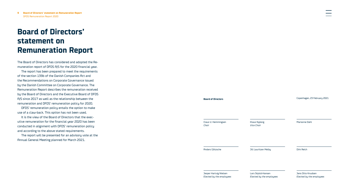## <span id="page-8-0"></span>**Board of Directors' statement on Remuneration Report**

The Board of Directors has considered and adopted the Remuneration report of DFDS A/S for the 2020 financial year.

The report has been prepared to meet the requirements of the section 139b of the Danish Companies Act and the Recommendations on Corporate Governance issued by the Danish Committee on Corporate Governance. The Remuneration Report describes the remuneration received by the Board of Directors and the Executive Board of DFDS A/S since 2017 as well as the relationship between the remuneration and DFDS' remuneration policy for 2020.

DFDS' remuneration policy entails the option to make use of a claw-back. This option has not been used.

It is the view of the Board of Directors that the executive remuneration for the financial year 2020 has been conducted in alignment with DFDS' remuneration policy and according to the above stated requirements.

The report will be presented for an advisory vote at the Annual General Meeting planned for March 2021.

**Board of Directors** Claus V. Hemmingsen *Chair* Klaus Nyborg *Vice Chair* Marianne Dahl Anders Götzsche Jill Lauritzen Melby Dirk Reich Jesper Hartvig Nielsen *Elected by the employees* Lars Skjold-Hansen *Elected by the employees* Jens Otto Knudsen *Elected by the employees* Copenhagen, 23 February 2021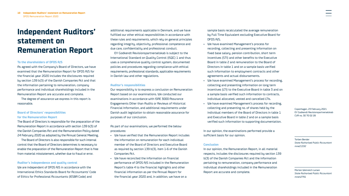### <span id="page-9-0"></span>**Independent Auditors' statement on Remuneration Report**

#### **To the shareholders of DFDS A/S**

As agreed with the Company's Board of Directors, we have examined that the Remuneration Report for DFDS A/S for the financial year 2020 includes the disclosures required by section 139 b(3) of the Danish Companies Act and that the information pertaining to remuneration, company performance and individual shareholdings included in the Remuneration Report are accurate and complete.

The degree of assurance we express in this report is reasonable.

#### **Board of Directors' responsibilities for the Remuneration Report**

The Board of Directors is responsible for the preparation of the Remuneration Report in accordance with section 139 b(3) of the Danish Companies Act and the Remuneration Policy dated 24 February 2020 as adopted by the Annual General Meeting.

The Board of Directors is also responsible for such internal control that the Board of Directors determines is necessary to enable the preparation of the Remuneration Report that is free from material misstatement, whether due to fraud or error.

**Auditor's independence and quality control** We are independent of DFDS A/S in accordance with the International Ethics Standards Board for Accountants' Code of Ethics for Professional Accountants (IESBA Code) and

additional requirements applicable in Denmark, and we have fulfilled our other ethical responsibilities in accordance with these rules and requirements, which rely on general principles regarding integrity, objectivity, professional competence and due care, confidentiality and professional conduct.

EY Godkendt Revisionspartnerselskab is subject to the International Standard on Quality Control (ISQC) 1 and thus uses a comprehensive quality control system, documented policies and procedures regarding compliance with ethical requirements, professional standards, applicable requirements in Danish law and other regulations.

#### **Auditor's responsibilities**

Our responsibility is to express a conclusion on Remuneration Report based on our examinations. We conducted our examinations in accordance with ISAE 3000 Assurance Engagements Other than Audits or Reviews of Historical Financial Information, and additional requirements under Danish audit legislation to obtain reasonable assurance for purposes of our conclusion.

As part of our examinations, we performed the below procedures:

- We have verified that the Remuneration Report includes the information on remuneration for each individual member of the Board of Directors and Executive Board as required by section 139 b(3), item 1-6 of the Danish Companies Act.
- We have reconciled the information on financial performance of DFDS A/S included in the Remuneration Report's table 4 to the financial highlights and other financial information as per the Annual Report for the financial year 2020 and, in addition, we have on a

sample basis recalculated the average remuneration by Full Time Equivalent excluding Executive Board for DFDS A/S.

- We have examined Management's process for recording, collecting and presenting information on fixed base salary, pension contribution, short term incentives (STI) and other benefits to the Executive Board in table 2 and remuneration to the Board of Directors in table 1 and on a sample basis verified such information to employment contracts and other agreements and actual disbursements.
- We have examined Management's process for recording, collecting and presenting information on long term incentives (LTI) to the Executive Board in table 3 and on a sample basis verified such information to contracts, individual allocated, vested and cancelled LTIs.
- We have examined Management's process for recording, collecting and presenting no. of shares held by the individual members of the Board of Directors in table 1 and Executive Board in table 2 and on a sample basis verified such information to supporting documentation.

In our opinion, the examinations performed provide a sufficient basis for our opinion.

#### **Conclusion**

In our opinion, the Remuneration Report, in all material respects, includes the disclosures required by section 139 b(3) of the Danish Companies Act and the information pertaining to remuneration, company performance and individual shareholdings included in the Remuneration Report are accurate and complete.

Copenhagen, 23 February 2021 EY Godkendt Revisionspartnerselskab CVR no. 30 70 02 28

Torben Bender *State Authorised Public Accountant mne21332*

Morten Weinreich Larsen *State Authorised Public Accountant mne42791*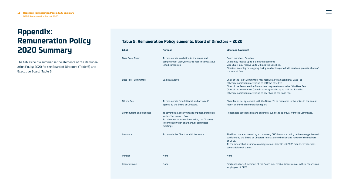# <span id="page-10-0"></span>**Appendix: Remuneration Policy 2020 Summary**

The tables below summarise the elements of the Remuneration Policy 2020 for the Board of Directors (Table 5) and Executive Board (Table 6):

### **Table 5: Remuneration Policy elements, Board of Directors – 2020**

| What                       | <b>Purpose</b>                                                                                                                                                                              | What and how much                                                                                                                                                                                                                                                                                                                                 |
|----------------------------|---------------------------------------------------------------------------------------------------------------------------------------------------------------------------------------------|---------------------------------------------------------------------------------------------------------------------------------------------------------------------------------------------------------------------------------------------------------------------------------------------------------------------------------------------------|
| Base Fee - Board           | To remunerate in relation to the scope and<br>complexity of work, similar to fees in comparable<br>listed companies.                                                                        | Board members: Base fee<br>Chair: may receive up to 3 times the Base Fee<br>Vice Chair: may receive up to 2 times the Base Fee.<br>Directors acceding or resigning during an election period will receive a pro rata share of<br>the annual fees.                                                                                                 |
| Base Fee - Committee       | Same as above.                                                                                                                                                                              | Chair of the Audit Committee: may receive up to an additional Base Fee<br>Other members: may receive up to half the Base Fee<br>Chair of the Remuneration Committee: may receive up to half the Base Fee<br>Chair of the Nomination Committee: may receive up to half the Base Fee<br>Other members: may receive up to one-third of the Base Fee. |
| Ad hoc Fee                 | To remunerate for additional ad-hoc task, if<br>agreed by the Board of Directors.                                                                                                           | Fixed fee as per agreement with the Board. To be presented in the notes to the annual<br>report and/or the remuneration report.                                                                                                                                                                                                                   |
| Contributions and expenses | To cover social security taxes imposed by foreign<br>authorities on such fees.<br>To reimburse expenses incurred by the Directors<br>in connection with board and/or committee<br>meetings. | Reasonable contributions and expenses, subject to approval from the Committee.                                                                                                                                                                                                                                                                    |
| Insurance                  | To provide the Directors with insurance.                                                                                                                                                    | The Directors are covered by a customary D&O insurance policy with coverage deemed<br>sufficient by the Board of Directors in relation to the size and nature of the business<br>of DFDS.<br>To the extent that insurance coverage proves insufficient DFDS may in certain cases<br>cover additional claims.                                      |
| Pension                    | None                                                                                                                                                                                        | None                                                                                                                                                                                                                                                                                                                                              |
| Incentive plan             | None                                                                                                                                                                                        | Employee-elected members of the Board may receive incentive pay in their capacity as<br>employees of DFDS.                                                                                                                                                                                                                                        |